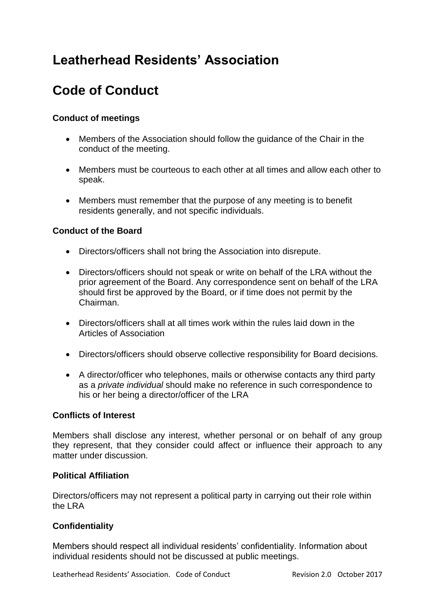## **Leatherhead Residents' Association**

# **Code of Conduct**

### **Conduct of meetings**

- Members of the Association should follow the guidance of the Chair in the conduct of the meeting.
- Members must be courteous to each other at all times and allow each other to speak.
- Members must remember that the purpose of any meeting is to benefit residents generally, and not specific individuals.

#### **Conduct of the Board**

- Directors/officers shall not bring the Association into disrepute.
- Directors/officers should not speak or write on behalf of the LRA without the prior agreement of the Board. Any correspondence sent on behalf of the LRA should first be approved by the Board, or if time does not permit by the Chairman.
- Directors/officers shall at all times work within the rules laid down in the Articles of Association
- Directors/officers should observe collective responsibility for Board decisions.
- A director/officer who telephones, mails or otherwise contacts any third party as a *private individual* should make no reference in such correspondence to his or her being a director/officer of the LRA

#### **Conflicts of Interest**

Members shall disclose any interest, whether personal or on behalf of any group they represent, that they consider could affect or influence their approach to any matter under discussion.

#### **Political Affiliation**

Directors/officers may not represent a political party in carrying out their role within the LRA

#### **Confidentiality**

Members should respect all individual residents' confidentiality. Information about individual residents should not be discussed at public meetings.

Leatherhead Residents' Association. Code of Conduct Revision 2.0 October 2017